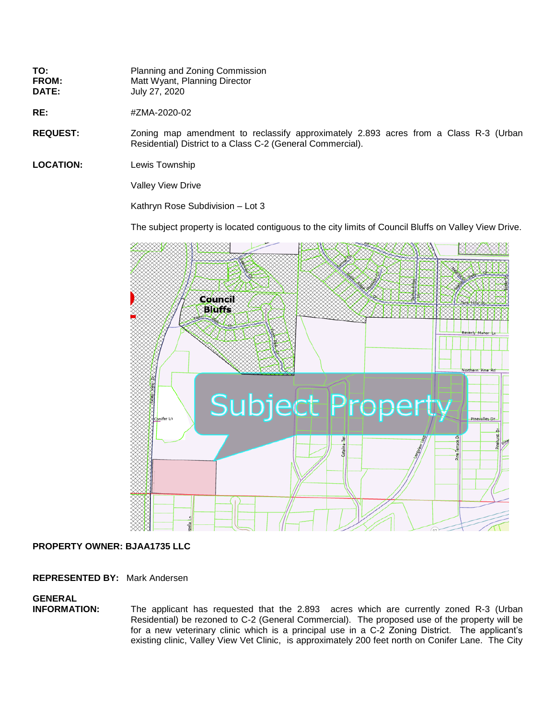| TO:          | Planning and Zoning Commission |
|--------------|--------------------------------|
| <b>FROM:</b> | Matt Wyant, Planning Director  |
| <b>DATE:</b> | July 27, 2020                  |

**RE:**  $\#ZMA-2020-02$ 

**REQUEST:** Zoning map amendment to reclassify approximately 2.893 acres from a Class R-3 (Urban Residential) District to a Class C-2 (General Commercial).

**LOCATION:** Lewis Township

Valley View Drive

Kathryn Rose Subdivision – Lot 3

The subject property is located contiguous to the city limits of Council Bluffs on Valley View Drive.



## **PROPERTY OWNER: BJAA1735 LLC**

**REPRESENTED BY:** Mark Andersen

## **GENERAL**

**INFORMATION:** The applicant has requested that the 2.893 acres which are currently zoned R-3 (Urban Residential) be rezoned to C-2 (General Commercial). The proposed use of the property will be for a new veterinary clinic which is a principal use in a C-2 Zoning District. The applicant's existing clinic, Valley View Vet Clinic, is approximately 200 feet north on Conifer Lane. The City